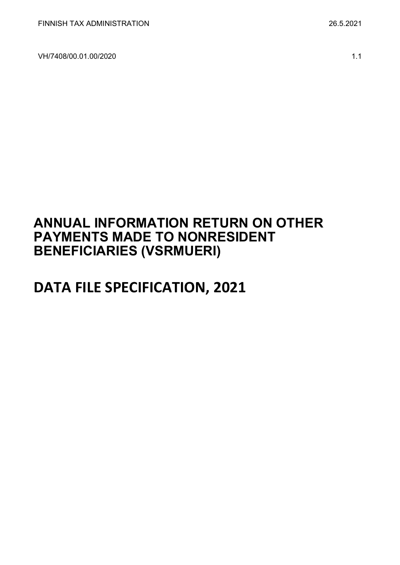VH/7408/00.01.00/2020 1.1

# **ANNUAL INFORMATION RETURN ON OTHER PAYMENTS MADE TO NONRESIDENT BENEFICIARIES (VSRMUERI)**

# **DATA FILE SPECIFICATION, 2021**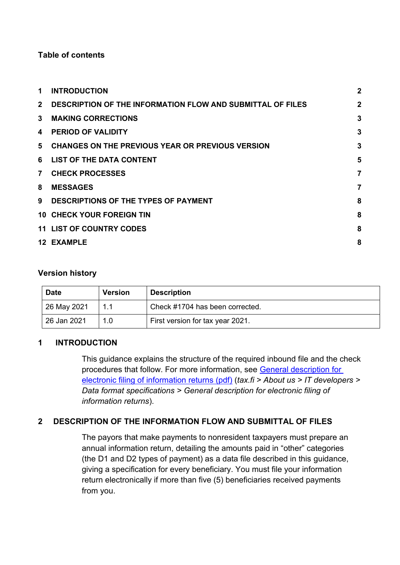## **Table of contents**

| 1            | <b>INTRODUCTION</b>                                               | $\mathbf{2}$ |
|--------------|-------------------------------------------------------------------|--------------|
| $\mathbf{2}$ | <b>DESCRIPTION OF THE INFORMATION FLOW AND SUBMITTAL OF FILES</b> | $\mathbf{2}$ |
| $\mathbf{3}$ | <b>MAKING CORRECTIONS</b>                                         | 3            |
| 4            | <b>PERIOD OF VALIDITY</b>                                         | 3            |
| 5.           | <b>CHANGES ON THE PREVIOUS YEAR OR PREVIOUS VERSION</b>           | 3            |
| 6            | <b>LIST OF THE DATA CONTENT</b>                                   | 5            |
| 7            | <b>CHECK PROCESSES</b>                                            | 7            |
| 8            | <b>MESSAGES</b>                                                   | 7            |
| 9            | DESCRIPTIONS OF THE TYPES OF PAYMENT                              | 8            |
|              | <b>10 CHECK YOUR FOREIGN TIN</b>                                  | 8            |
|              | <b>11 LIST OF COUNTRY CODES</b>                                   | 8            |
|              | 12 EXAMPLE                                                        | 8            |

## **Version history**

| <b>Date</b> | <b>Version</b> | <b>Description</b>               |
|-------------|----------------|----------------------------------|
| 26 May 2021 | 1.1            | Check #1704 has been corrected.  |
| 26 Jan 2021 | 1.0            | First version for tax year 2021. |

## <span id="page-1-0"></span>**1 INTRODUCTION**

This guidance explains the structure of the required inbound file and the check procedures that follow. For more information, see [General description for](https://www.vero.fi/globalassets/tietoa-verohallinnosta/ohjelmistokehittajille/s%C3%A4hk%C3%B6isen-ilmoittamisen-yleiskuvaus2.pdf)  [electronic filing of information returns \(pdf\)](https://www.vero.fi/globalassets/tietoa-verohallinnosta/ohjelmistokehittajille/s%C3%A4hk%C3%B6isen-ilmoittamisen-yleiskuvaus2.pdf) (*tax.fi > About us > IT developers > Data format specifications > General description for electronic filing of information returns*).

# <span id="page-1-1"></span>**2 DESCRIPTION OF THE INFORMATION FLOW AND SUBMITTAL OF FILES**

The payors that make payments to nonresident taxpayers must prepare an annual information return, detailing the amounts paid in "other" categories (the D1 and D2 types of payment) as a data file described in this guidance, giving a specification for every beneficiary. You must file your information return electronically if more than five (5) beneficiaries received payments from you.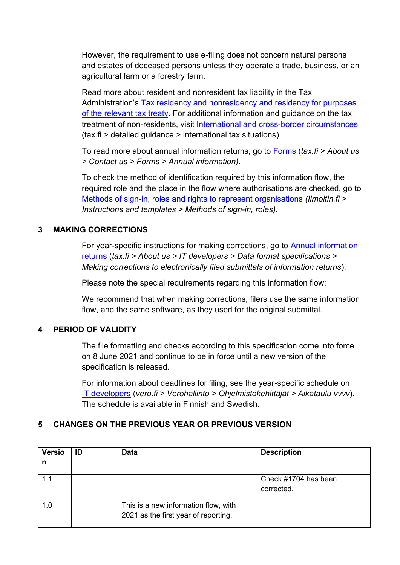However, the requirement to use e-filing does not concern natural persons and estates of deceased persons unless they operate a trade, business, or an agricultural farm or a forestry farm.

Read more about resident and nonresident tax liability in the Tax Administration's [Tax residency and nonresidency and residency for purposes](https://www.vero.fi/en/detailed-guidance/guidance/48999/tax-residency-nonresidency-and-residency-in-accordance-with-a-tax-treaty--natural-persons/)  [of the relevant tax treaty.](https://www.vero.fi/en/detailed-guidance/guidance/48999/tax-residency-nonresidency-and-residency-in-accordance-with-a-tax-treaty--natural-persons/) For additional information and guidance on the tax treatment of non-residents, visit [International and cross-border circumstances](https://www.vero.fi/syventavat-vero-ohjeet/ohje-hakusivu/?tags=67764&sort=0&pageSize=50&page=1&tag=67764) (tax.fi > detailed guidance > international tax situations).

To read more about annual information returns, go to [Forms](https://www.vero.fi/en/About-us/contact-us/forms/) (*tax.fi > About us > Contact us > Forms > Annual information).*

To check the method of identification required by this information flow, the required role and the place in the flow where authorisations are checked, go to [Methods of sign-in, roles and rights to represent organisations](https://www.ilmoitin.fi/webtamo/sivut/IlmoituslajiRoolit?kieli=en&tv=VSRMUERI) *[\(Ilmoitin.fi >](https://www.ilmoitin.fi/webtamo/sivut/IlmoituslajiRoolit?tv=VSY02C)  [Instructions and templates > Methods of sign-in, roles\)](https://www.ilmoitin.fi/webtamo/sivut/IlmoituslajiRoolit?tv=VSY02C).*

## <span id="page-2-0"></span>**3 MAKING CORRECTIONS**

For year-specific instructions for making corrections, go to [Annual information](https://www.vero.fi/en/About-us/it_developer/data-format-specifications/annual_information_returns__instruction/)  [returns](https://www.vero.fi/en/About-us/it_developer/data-format-specifications/annual_information_returns__instruction/) (*tax.fi > About us > IT developers > Data format specifications > Making corrections to electronically filed submittals of information returns*).

Please note the special requirements regarding this information flow:

We recommend that when making corrections, filers use the same information flow, and the same software, as they used for the original submittal.

## <span id="page-2-1"></span>**4 PERIOD OF VALIDITY**

The file formatting and checks according to this specification come into force on 8 June 2021 and continue to be in force until a new version of the specification is released.

For information about deadlines for filing, see the year-specific schedule on [IT developers](https://www.vero.fi/tietoa-verohallinnosta/kehittaja/) (*vero.fi > Verohallinto > Ohjelmistokehittäjät > Aikataulu vvvv*). The schedule is available in Finnish and Swedish.

## <span id="page-2-2"></span>**5 CHANGES ON THE PREVIOUS YEAR OR PREVIOUS VERSION**

| <b>Versio</b> | ID | Data                                                                         | <b>Description</b>                 |
|---------------|----|------------------------------------------------------------------------------|------------------------------------|
| n             |    |                                                                              |                                    |
| 1.1           |    |                                                                              | Check #1704 has been<br>corrected. |
| 1.0           |    | This is a new information flow, with<br>2021 as the first year of reporting. |                                    |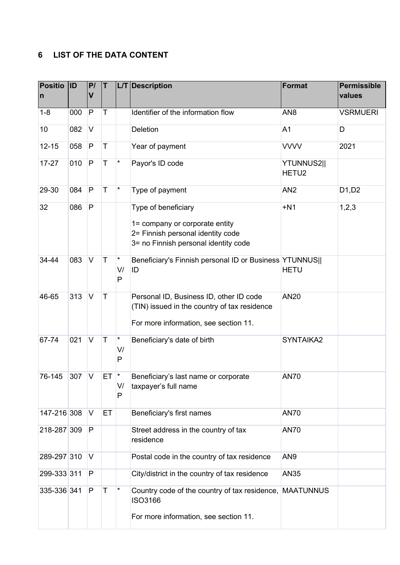# <span id="page-4-0"></span>**6 LIST OF THE DATA CONTENT**

| <b>Positio</b><br>$\mathsf{n}$ | <b>ID</b> | P/<br>$\mathsf{V}$ | T           |                     | L/T Description                                                                                                                    | <b>Format</b>                   | <b>Permissible</b><br>values |
|--------------------------------|-----------|--------------------|-------------|---------------------|------------------------------------------------------------------------------------------------------------------------------------|---------------------------------|------------------------------|
| $1 - 8$                        | 000       | P                  | Τ           |                     | Identifier of the information flow                                                                                                 | AN <sub>8</sub>                 | <b>VSRMUERI</b>              |
| 10                             | 082       | V                  |             |                     | Deletion                                                                                                                           | A <sub>1</sub>                  | D                            |
| $12 - 15$                      | 058       | P                  | $\mathsf T$ |                     | Year of payment                                                                                                                    | <b>VVVV</b>                     | 2021                         |
| $17 - 27$                      | 010       | P                  | $\mathsf T$ | $\star$             | Payor's ID code                                                                                                                    | YTUNNUS2  <br>HETU <sub>2</sub> |                              |
| 29-30                          | 084       | P                  | T           | $\star$             | Type of payment                                                                                                                    | AN <sub>2</sub>                 | D1, D2                       |
| 32                             | 086       | P                  |             |                     | Type of beneficiary<br>1= company or corporate entity<br>2= Finnish personal identity code<br>3= no Finnish personal identity code | $+N1$                           | 1, 2, 3                      |
| 34-44                          | 083       | V                  | T           | $\star$<br>V/<br>P  | Beneficiary's Finnish personal ID or Business YTUNNUS  <br>ID                                                                      | <b>HETU</b>                     |                              |
| 46-65                          | 313       | $\vee$             | $\mathsf T$ |                     | Personal ID, Business ID, other ID code<br>(TIN) issued in the country of tax residence<br>For more information, see section 11.   | <b>AN20</b>                     |                              |
| 67-74                          | 021       | $\vee$             | $\mathsf T$ | $^\star$<br>V/<br>P | Beneficiary's date of birth                                                                                                        | SYNTAIKA2                       |                              |
| 76-145                         | 307       | V                  | ET          | $\star$<br>V/<br>P  | Beneficiary's last name or corporate<br>taxpayer's full name                                                                       | <b>AN70</b>                     |                              |
| 147-216 308                    |           | V                  | ET.         |                     | Beneficiary's first names                                                                                                          | <b>AN70</b>                     |                              |
| 218-287 309                    |           | P                  |             |                     | Street address in the country of tax<br>residence                                                                                  | <b>AN70</b>                     |                              |
| 289-297 310                    |           | V                  |             |                     | Postal code in the country of tax residence                                                                                        | AN <sub>9</sub>                 |                              |
| 299-333 311                    |           | P                  |             |                     | City/district in the country of tax residence                                                                                      | <b>AN35</b>                     |                              |
| 335-336 341                    |           | P                  | T           | $\star$             | Country code of the country of tax residence, MAATUNNUS<br><b>ISO3166</b><br>For more information, see section 11.                 |                                 |                              |
|                                |           |                    |             |                     |                                                                                                                                    |                                 |                              |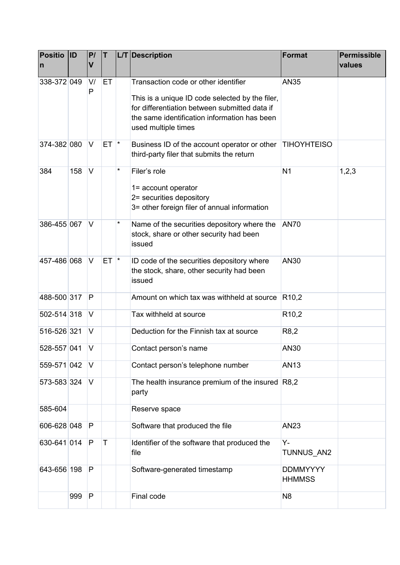| <b>Positio</b><br>$\overline{\mathsf{n}}$ | <b>ID</b> | P/<br>V | IT.         |               | L/T Description                                                                                                                                                                                                 | Format                           | <b>Permissible</b><br>values |
|-------------------------------------------|-----------|---------|-------------|---------------|-----------------------------------------------------------------------------------------------------------------------------------------------------------------------------------------------------------------|----------------------------------|------------------------------|
| 338-372 049                               |           | V/<br>P | ET          |               | Transaction code or other identifier<br>This is a unique ID code selected by the filer,<br>for differentiation between submitted data if<br>the same identification information has been<br>used multiple times | <b>AN35</b>                      |                              |
| 374-382 080                               |           | V       | ET.         | $\vert \star$ | Business ID of the account operator or other<br>third-party filer that submits the return                                                                                                                       | <b>TIHOYHTEISO</b>               |                              |
| 384                                       | 158       | V       |             | $^\star$      | Filer's role<br>1= account operator<br>2= securities depository<br>3= other foreign filer of annual information                                                                                                 | N <sub>1</sub>                   | 1,2,3                        |
| 386-455 067                               |           | V       |             | *             | Name of the securities depository where the<br>stock, share or other security had been<br>issued                                                                                                                | <b>AN70</b>                      |                              |
| 457-486 068                               |           | $\vee$  | <b>ET</b>   | $\star$       | ID code of the securities depository where<br>the stock, share, other security had been<br>issued                                                                                                               | AN30                             |                              |
| 488-500 317                               |           | P       |             |               | Amount on which tax was withheld at source                                                                                                                                                                      | R <sub>10,2</sub>                |                              |
| 502-514 318                               |           | V       |             |               | Tax withheld at source                                                                                                                                                                                          | R <sub>10</sub> ,2               |                              |
| 516-526 321                               |           | V       |             |               | Deduction for the Finnish tax at source                                                                                                                                                                         | R <sub>8</sub> ,2                |                              |
| 528-557 041                               |           | IV.     |             |               | Contact person's name                                                                                                                                                                                           | AN30                             |                              |
| 559-571 042                               |           | V       |             |               | Contact person's telephone number                                                                                                                                                                               | <b>AN13</b>                      |                              |
| 573-583 324                               |           | V       |             |               | The health insurance premium of the insured $R8,2$<br>party                                                                                                                                                     |                                  |                              |
| 585-604                                   |           |         |             |               | Reserve space                                                                                                                                                                                                   |                                  |                              |
| 606-628 048                               |           | P       |             |               | Software that produced the file                                                                                                                                                                                 | AN23                             |                              |
| 630-641 014                               |           | P       | $\mathsf T$ |               | Identifier of the software that produced the<br>file                                                                                                                                                            | Υ-<br>TUNNUS AN2                 |                              |
| 643-656 198                               |           | P       |             |               | Software-generated timestamp                                                                                                                                                                                    | <b>DDMMYYYY</b><br><b>HHMMSS</b> |                              |
|                                           | 999       | P       |             |               | Final code                                                                                                                                                                                                      | N <sub>8</sub>                   |                              |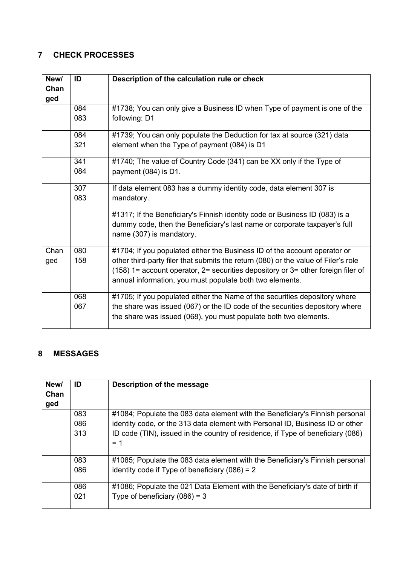# <span id="page-6-0"></span>**7 CHECK PROCESSES**

| New/<br>Chan<br>ged | ID  | Description of the calculation rule or check                                                          |
|---------------------|-----|-------------------------------------------------------------------------------------------------------|
|                     | 084 | #1738; You can only give a Business ID when Type of payment is one of the                             |
|                     | 083 | following: D1                                                                                         |
|                     | 084 | #1739; You can only populate the Deduction for tax at source (321) data                               |
|                     | 321 | element when the Type of payment (084) is D1                                                          |
|                     | 341 | #1740; The value of Country Code (341) can be XX only if the Type of                                  |
|                     | 084 | payment (084) is D1.                                                                                  |
|                     | 307 | If data element 083 has a dummy identity code, data element 307 is                                    |
|                     | 083 | mandatory.                                                                                            |
|                     |     | #1317; If the Beneficiary's Finnish identity code or Business ID (083) is a                           |
|                     |     | dummy code, then the Beneficiary's last name or corporate taxpayer's full<br>name (307) is mandatory. |
| Chan                | 080 | #1704; If you populated either the Business ID of the account operator or                             |
| ged                 | 158 | other third-party filer that submits the return (080) or the value of Filer's role                    |
|                     |     | $(158)$ 1= account operator, 2= securities depository or 3= other foreign filer of                    |
|                     |     | annual information, you must populate both two elements.                                              |
|                     | 068 | #1705; If you populated either the Name of the securities depository where                            |
|                     | 067 | the share was issued (067) or the ID code of the securities depository where                          |
|                     |     | the share was issued (068), you must populate both two elements.                                      |

## <span id="page-6-1"></span>**8 MESSAGES**

| New/ | ID  | Description of the message                                                      |
|------|-----|---------------------------------------------------------------------------------|
| Chan |     |                                                                                 |
| ged  |     |                                                                                 |
|      | 083 | #1084; Populate the 083 data element with the Beneficiary's Finnish personal    |
|      | 086 | identity code, or the 313 data element with Personal ID, Business ID or other   |
|      | 313 | ID code (TIN), issued in the country of residence, if Type of beneficiary (086) |
|      |     | $= 1$                                                                           |
|      |     |                                                                                 |
|      | 083 | #1085; Populate the 083 data element with the Beneficiary's Finnish personal    |
|      | 086 | identity code if Type of beneficiary $(086) = 2$                                |
|      |     |                                                                                 |
|      | 086 | #1086; Populate the 021 Data Element with the Beneficiary's date of birth if    |
|      | 021 | Type of beneficiary $(086) = 3$                                                 |
|      |     |                                                                                 |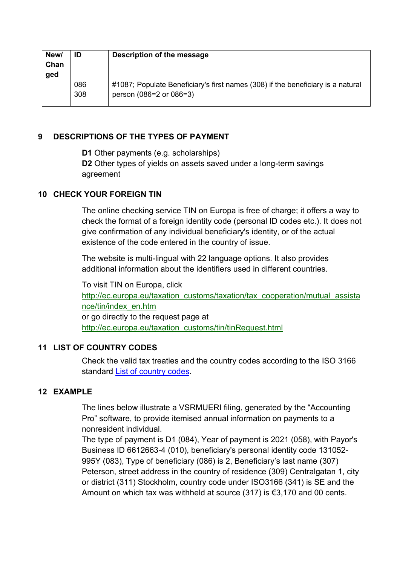| New/<br>Chan<br>ged | ID  | Description of the message                                                      |
|---------------------|-----|---------------------------------------------------------------------------------|
|                     | 086 | #1087; Populate Beneficiary's first names (308) if the beneficiary is a natural |
|                     | 308 | person (086=2 or 086=3)                                                         |

## <span id="page-7-0"></span>**9 DESCRIPTIONS OF THE TYPES OF PAYMENT**

**D1** Other payments (e.g. scholarships)

**D2** Other types of yields on assets saved under a long-term savings agreement

## <span id="page-7-1"></span>**10 CHECK YOUR FOREIGN TIN**

The online checking service TIN on Europa is free of charge; it offers a way to check the format of a foreign identity code (personal ID codes etc.). It does not give confirmation of any individual beneficiary's identity, or of the actual existence of the code entered in the country of issue.

The website is multi-lingual with 22 language options. It also provides additional information about the identifiers used in different countries.

To visit TIN on Europa, click [http://ec.europa.eu/taxation\\_customs/taxation/tax\\_cooperation/mutual\\_assista](http://ec.europa.eu/taxation_customs/taxation/tax_cooperation/mutual_assistance/tin/index_en.htm) [nce/tin/index\\_en.htm](http://ec.europa.eu/taxation_customs/taxation/tax_cooperation/mutual_assistance/tin/index_en.htm) or go directly to the request page at [http://ec.europa.eu/taxation\\_customs/tin/tinRequest.html](http://ec.europa.eu/taxation_customs/tin/tinRequest.html)

## <span id="page-7-2"></span>**11 LIST OF COUNTRY CODES**

Check the valid tax treaties and the country codes according to the ISO 3166 standard [List of country codes.](https://www.ilmoitin.fi/webtamo/sivut/ExcelPohjat?2-1.ILinkListener-apuvalineet-maatunnuslistaus_linkki)

## <span id="page-7-3"></span>**12 EXAMPLE**

The lines below illustrate a VSRMUERI filing, generated by the "Accounting Pro" software, to provide itemised annual information on payments to a nonresident individual.

The type of payment is D1 (084), Year of payment is 2021 (058), with Payor's Business ID 6612663-4 (010), beneficiary's personal identity code 131052- 995Y (083), Type of beneficiary (086) is 2, Beneficiary's last name (307) Peterson, street address in the country of residence (309) Centralgatan 1, city or district (311) Stockholm, country code under ISO3166 (341) is SE and the Amount on which tax was withheld at source (317) is €3,170 and 00 cents.